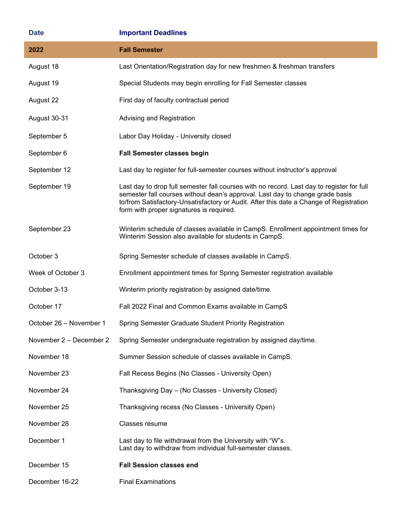| <b>Date</b>             | <b>Important Deadlines</b>                                                                                                                                                                                                                                                                                       |
|-------------------------|------------------------------------------------------------------------------------------------------------------------------------------------------------------------------------------------------------------------------------------------------------------------------------------------------------------|
| 2022                    | <b>Fall Semester</b>                                                                                                                                                                                                                                                                                             |
| August 18               | Last Orientation/Registration day for new freshmen & freshman transfers                                                                                                                                                                                                                                          |
| August 19               | Special Students may begin enrolling for Fall Semester classes                                                                                                                                                                                                                                                   |
| August 22               | First day of faculty contractual period                                                                                                                                                                                                                                                                          |
| August 30-31            | Advising and Registration                                                                                                                                                                                                                                                                                        |
| September 5             | Labor Day Holiday - University closed                                                                                                                                                                                                                                                                            |
| September 6             | Fall Semester classes begin                                                                                                                                                                                                                                                                                      |
| September 12            | Last day to register for full-semester courses without instructor's approval                                                                                                                                                                                                                                     |
| September 19            | Last day to drop full semester fall courses with no record. Last day to register for full<br>semester fall courses without dean's approval. Last day to change grade basis<br>to/from Satisfactory-Unsatisfactory or Audit. After this date a Change of Registration<br>form with proper signatures is required. |
| September 23            | Winterim schedule of classes available in CampS. Enrollment appointment times for<br>Winterim Session also available for students in CampS.                                                                                                                                                                      |
| October 3               | Spring Semester schedule of classes available in CampS.                                                                                                                                                                                                                                                          |
| Week of October 3       | Enrollment appointment times for Spring Semester registration available                                                                                                                                                                                                                                          |
| October 3-13            | Winterim priority registration by assigned date/time.                                                                                                                                                                                                                                                            |
| October 17              | Fall 2022 Final and Common Exams available in CampS                                                                                                                                                                                                                                                              |
| October 26 - November 1 | Spring Semester Graduate Student Priority Registration                                                                                                                                                                                                                                                           |
| November 2 - December 2 | Spring Semester undergraduate registration by assigned day/time.                                                                                                                                                                                                                                                 |
| November 18             | Summer Session schedule of classes available in CampS.                                                                                                                                                                                                                                                           |
| November 23             | Fall Recess Begins (No Classes - University Open)                                                                                                                                                                                                                                                                |
| November 24             | Thanksgiving Day - (No Classes - University Closed)                                                                                                                                                                                                                                                              |
| November 25             | Thanksgiving recess (No Classes - University Open)                                                                                                                                                                                                                                                               |
| November 28             | Classes resume                                                                                                                                                                                                                                                                                                   |
| December 1              | Last day to file withdrawal from the University with "W"s.<br>Last day to withdraw from individual full-semester classes.                                                                                                                                                                                        |
| December 15             | <b>Fall Session classes end</b>                                                                                                                                                                                                                                                                                  |
| December 16-22          | <b>Final Examinations</b>                                                                                                                                                                                                                                                                                        |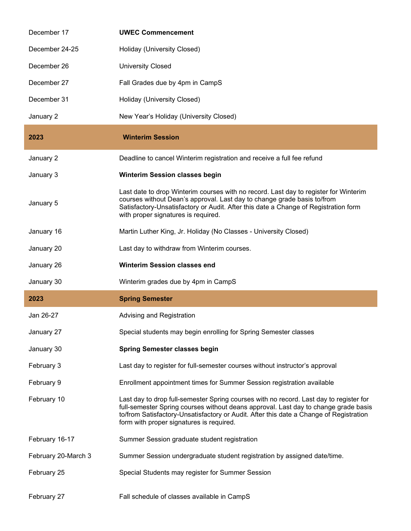| December 17         | <b>UWEC Commencement</b>                                                                                                                                                                                                                                                                                            |
|---------------------|---------------------------------------------------------------------------------------------------------------------------------------------------------------------------------------------------------------------------------------------------------------------------------------------------------------------|
| December 24-25      | Holiday (University Closed)                                                                                                                                                                                                                                                                                         |
| December 26         | <b>University Closed</b>                                                                                                                                                                                                                                                                                            |
| December 27         | Fall Grades due by 4pm in CampS                                                                                                                                                                                                                                                                                     |
| December 31         | Holiday (University Closed)                                                                                                                                                                                                                                                                                         |
| January 2           | New Year's Holiday (University Closed)                                                                                                                                                                                                                                                                              |
| 2023                | <b>Winterim Session</b>                                                                                                                                                                                                                                                                                             |
| January 2           | Deadline to cancel Winterim registration and receive a full fee refund                                                                                                                                                                                                                                              |
| January 3           | <b>Winterim Session classes begin</b>                                                                                                                                                                                                                                                                               |
| January 5           | Last date to drop Winterim courses with no record. Last day to register for Winterim<br>courses without Dean's approval. Last day to change grade basis to/from<br>Satisfactory-Unsatisfactory or Audit. After this date a Change of Registration form<br>with proper signatures is required.                       |
| January 16          | Martin Luther King, Jr. Holiday (No Classes - University Closed)                                                                                                                                                                                                                                                    |
| January 20          | Last day to withdraw from Winterim courses.                                                                                                                                                                                                                                                                         |
|                     |                                                                                                                                                                                                                                                                                                                     |
| January 26          | <b>Winterim Session classes end</b>                                                                                                                                                                                                                                                                                 |
| January 30          | Winterim grades due by 4pm in CampS                                                                                                                                                                                                                                                                                 |
| 2023                | <b>Spring Semester</b>                                                                                                                                                                                                                                                                                              |
| Jan 26-27           | Advising and Registration                                                                                                                                                                                                                                                                                           |
| January 27          | Special students may begin enrolling for Spring Semester classes                                                                                                                                                                                                                                                    |
| January 30          | <b>Spring Semester classes begin</b>                                                                                                                                                                                                                                                                                |
| February 3          | Last day to register for full-semester courses without instructor's approval                                                                                                                                                                                                                                        |
| February 9          | Enrollment appointment times for Summer Session registration available                                                                                                                                                                                                                                              |
| February 10         | Last day to drop full-semester Spring courses with no record. Last day to register for<br>full-semester Spring courses without deans approval. Last day to change grade basis<br>to/from Satisfactory-Unsatisfactory or Audit. After this date a Change of Registration<br>form with proper signatures is required. |
| February 16-17      | Summer Session graduate student registration                                                                                                                                                                                                                                                                        |
| February 20-March 3 | Summer Session undergraduate student registration by assigned date/time.                                                                                                                                                                                                                                            |
| February 25         | Special Students may register for Summer Session                                                                                                                                                                                                                                                                    |